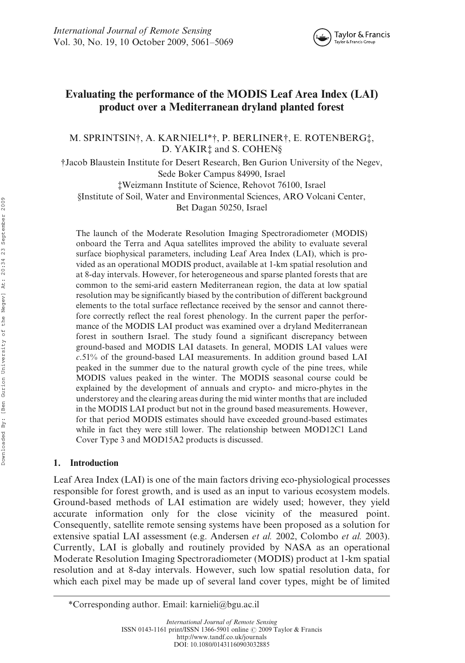

# Evaluating the performance of the MODIS Leaf Area Index (LAI) product over a Mediterranean dryland planted forest

M. SPRINTSIN†, A. KARNIELI\*†, P. BERLINER†, E. ROTENBERG‡, D. YAKIR‡ and S. COHEN§

†Jacob Blaustein Institute for Desert Research, Ben Gurion University of the Negev, Sede Boker Campus 84990, Israel

‡Weizmann Institute of Science, Rehovot 76100, Israel §Institute of Soil, Water and Environmental Sciences, ARO Volcani Center, Bet Dagan 50250, Israel

The launch of the Moderate Resolution Imaging Spectroradiometer (MODIS) onboard the Terra and Aqua satellites improved the ability to evaluate several surface biophysical parameters, including Leaf Area Index (LAI), which is provided as an operational MODIS product, available at 1-km spatial resolution and at 8-day intervals. However, for heterogeneous and sparse planted forests that are common to the semi-arid eastern Mediterranean region, the data at low spatial resolution may be significantly biased by the contribution of different background elements to the total surface reflectance received by the sensor and cannot therefore correctly reflect the real forest phenology. In the current paper the performance of the MODIS LAI product was examined over a dryland Mediterranean forest in southern Israel. The study found a significant discrepancy between ground-based and MODIS LAI datasets. In general, MODIS LAI values were c.51% of the ground-based LAI measurements. In addition ground based LAI peaked in the summer due to the natural growth cycle of the pine trees, while MODIS values peaked in the winter. The MODIS seasonal course could be explained by the development of annuals and crypto- and micro-phytes in the understorey and the clearing areas during the mid winter months that are included in the MODIS LAI product but not in the ground based measurements. However, for that period MODIS estimates should have exceeded ground-based estimates while in fact they were still lower. The relationship between MOD12C1 Land Cover Type 3 and MOD15A2 products is discussed.

# 1. Introduction

Leaf Area Index (LAI) is one of the main factors driving eco-physiological processes responsible for forest growth, and is used as an input to various ecosystem models. Ground-based methods of LAI estimation are widely used; however, they yield accurate information only for the close vicinity of the measured point. Consequently, satellite remote sensing systems have been proposed as a solution for extensive spatial LAI assessment (e.g. Andersen et al. 2002, Colombo et al. 2003). Currently, LAI is globally and routinely provided by NASA as an operational Moderate Resolution Imaging Spectroradiometer (MODIS) product at 1-km spatial resolution and at 8-day intervals. However, such low spatial resolution data, for which each pixel may be made up of several land cover types, might be of limited

<sup>\*</sup>Corresponding author. Email: karnieli@bgu.ac.il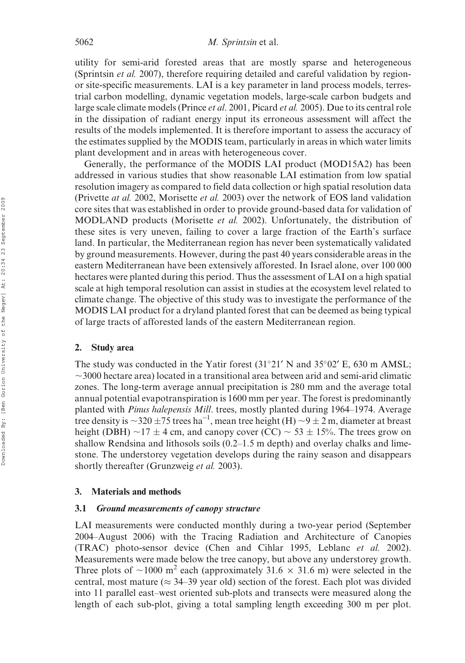utility for semi-arid forested areas that are mostly sparse and heterogeneous (Sprintsin *et al.* 2007), therefore requiring detailed and careful validation by regionor site-specific measurements. LAI is a key parameter in land process models, terrestrial carbon modelling, dynamic vegetation models, large-scale carbon budgets and large scale climate models (Prince et al. 2001, Picard et al. 2005). Due to its central role in the dissipation of radiant energy input its erroneous assessment will affect the results of the models implemented. It is therefore important to assess the accuracy of the estimates supplied by the MODIS team, particularly in areas in which water limits plant development and in areas with heterogeneous cover.

Generally, the performance of the MODIS LAI product (MOD15A2) has been addressed in various studies that show reasonable LAI estimation from low spatial resolution imagery as compared to field data collection or high spatial resolution data (Privette at al. 2002, Morisette et al. 2003) over the network of EOS land validation core sites that was established in order to provide ground-based data for validation of MODLAND products (Morisette et al. 2002). Unfortunately, the distribution of these sites is very uneven, failing to cover a large fraction of the Earth's surface land. In particular, the Mediterranean region has never been systematically validated by ground measurements. However, during the past 40 years considerable areas in the eastern Mediterranean have been extensively afforested. In Israel alone, over 100 000 hectares were planted during this period. Thus the assessment of LAI on a high spatial scale at high temporal resolution can assist in studies at the ecosystem level related to climate change. The objective of this study was to investigate the performance of the MODIS LAI product for a dryland planted forest that can be deemed as being typical of large tracts of afforested lands of the eastern Mediterranean region.

## 2. Study area

The study was conducted in the Yatir forest  $(31^{\circ}21'$  N and  $35^{\circ}02'$  E, 630 m AMSL;  $\sim$ 3000 hectare area) located in a transitional area between arid and semi-arid climatic zones. The long-term average annual precipitation is 280 mm and the average total annual potential evapotranspiration is 1600 mm per year. The forest is predominantly planted with Pinus halepensis Mill. trees, mostly planted during 1964–1974. Average tree density is  $\sim$ 320  $\pm$ 75 trees ha<sup>-1</sup>, mean tree height (H)  $\sim$ 9  $\pm$  2 m, diameter at breast height (DBH)  $\sim$ 17  $\pm$  4 cm, and canopy cover (CC)  $\sim$  53  $\pm$  15%. The trees grow on shallow Rendsina and lithosols soils  $(0.2-1.5 \text{ m depth})$  and overlay chalks and limestone. The understorey vegetation develops during the rainy season and disappears shortly thereafter (Grunzweig et al. 2003).

## 3. Materials and methods

#### 3.1 Ground measurements of canopy structure

LAI measurements were conducted monthly during a two-year period (September 2004–August 2006) with the Tracing Radiation and Architecture of Canopies (TRAC) photo-sensor device (Chen and Cihlar 1995, Leblanc et al. 2002). Measurements were made below the tree canopy, but above any understorey growth. Three plots of  $\sim$ 1000 m<sup>2</sup> each (approximately 31.6  $\times$  31.6 m) were selected in the central, most mature ( $\approx$  34–39 year old) section of the forest. Each plot was divided into 11 parallel east–west oriented sub-plots and transects were measured along the length of each sub-plot, giving a total sampling length exceeding 300 m per plot.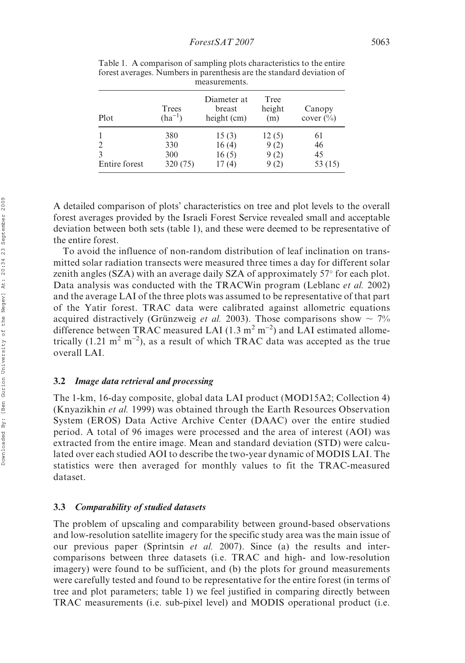| Plot          | Trees<br>$(ha^{-1})$ | Diameter at<br>breast<br>height (cm) | Tree<br>height<br>(m) | Canopy<br>cover $(\% )$ |
|---------------|----------------------|--------------------------------------|-----------------------|-------------------------|
|               | 380                  | 15(3)                                | 12(5)                 | 61                      |
|               | 330                  | 16(4)                                | 9(2)                  | 46                      |
| 3             | 300                  | 16(5)                                | 9(2)                  | 45                      |
| Entire forest | 320 (75)             | 17(4)                                | 9(2)                  | 53 (15)                 |

Table 1. A comparison of sampling plots characteristics to the entire forest averages. Numbers in parenthesis are the standard deviation of measurements.

A detailed comparison of plots' characteristics on tree and plot levels to the overall forest averages provided by the Israeli Forest Service revealed small and acceptable deviation between both sets (table 1), and these were deemed to be representative of the entire forest.

To avoid the influence of non-random distribution of leaf inclination on transmitted solar radiation transects were measured three times a day for different solar zenith angles (SZA) with an average daily SZA of approximately 57 $^{\circ}$  for each plot. Data analysis was conducted with the TRACWin program (Leblanc *et al.* 2002) and the average LAI of the three plots was assumed to be representative of that part of the Yatir forest. TRAC data were calibrated against allometric equations acquired distractively (Grünzweig et al. 2003). Those comparisons show  $\sim$  7% difference between TRAC measured LAI  $(1.3 \text{ m}^2 \text{ m}^{-2})$  and LAI estimated allometrically  $(1.21 \text{ m}^2 \text{ m}^{-2})$ , as a result of which TRAC data was accepted as the true overall LAI.

## 3.2 Image data retrieval and processing

The 1-km, 16-day composite, global data LAI product (MOD15A2; Collection 4) (Knyazikhin et al. 1999) was obtained through the Earth Resources Observation System (EROS) Data Active Archive Center (DAAC) over the entire studied period. A total of 96 images were processed and the area of interest (AOI) was extracted from the entire image. Mean and standard deviation (STD) were calculated over each studied AOI to describe the two-year dynamic of MODIS LAI. The statistics were then averaged for monthly values to fit the TRAC-measured dataset.

## 3.3 Comparability of studied datasets

The problem of upscaling and comparability between ground-based observations and low-resolution satellite imagery for the specific study area was the main issue of our previous paper (Sprintsin *et al.* 2007). Since (a) the results and intercomparisons between three datasets (i.e. TRAC and high- and low-resolution imagery) were found to be sufficient, and (b) the plots for ground measurements were carefully tested and found to be representative for the entire forest (in terms of tree and plot parameters; table 1) we feel justified in comparing directly between TRAC measurements (i.e. sub-pixel level) and MODIS operational product (i.e.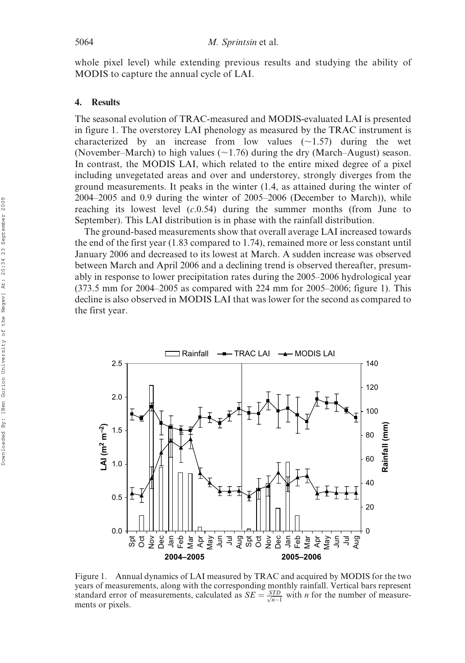whole pixel level) while extending previous results and studying the ability of MODIS to capture the annual cycle of LAI.

## 4. Results

The seasonal evolution of TRAC-measured and MODIS-evaluated LAI is presented in figure 1. The overstorey LAI phenology as measured by the TRAC instrument is characterized by an increase from low values  $(\sim 1.57)$  during the wet (November–March) to high values ( $\sim$ 1.76) during the dry (March–August) season. In contrast, the MODIS LAI, which related to the entire mixed degree of a pixel including unvegetated areas and over and understorey, strongly diverges from the ground measurements. It peaks in the winter (1.4, as attained during the winter of 2004–2005 and 0.9 during the winter of 2005–2006 (December to March)), while reaching its lowest level  $(c.0.54)$  during the summer months (from June to September). This LAI distribution is in phase with the rainfall distribution.

The ground-based measurements show that overall average LAI increased towards the end of the first year (1.83 compared to 1.74), remained more or less constant until January 2006 and decreased to its lowest at March. A sudden increase was observed between March and April 2006 and a declining trend is observed thereafter, presumably in response to lower precipitation rates during the 2005–2006 hydrological year (373.5 mm for 2004–2005 as compared with 224 mm for 2005–2006; figure 1). This decline is also observed in MODIS LAI that was lower for the second as compared to the first year.



Figure 1. Annual dynamics of LAI measured by TRAC and acquired by MODIS for the two years of measurements, along with the corresponding monthly rainfall. Vertical bars represent standard error of measurements, calculated as  $SE = \frac{STD}{\sqrt{n-1}}$  with *n* for the number of measurements or pixels.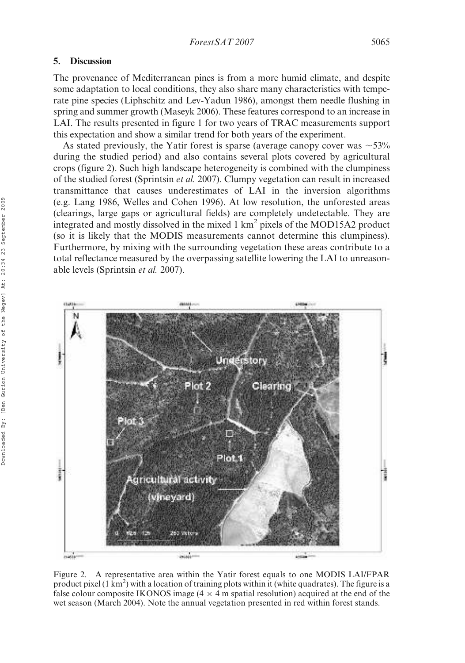#### 5. Discussion

The provenance of Mediterranean pines is from a more humid climate, and despite some adaptation to local conditions, they also share many characteristics with temperate pine species (Liphschitz and Lev-Yadun 1986), amongst them needle flushing in spring and summer growth (Maseyk 2006). These features correspond to an increase in LAI. The results presented in figure 1 for two years of TRAC measurements support this expectation and show a similar trend for both years of the experiment.

As stated previously, the Yatir forest is sparse (average canopy cover was  $\sim$  53% during the studied period) and also contains several plots covered by agricultural crops (figure 2). Such high landscape heterogeneity is combined with the clumpiness of the studied forest (Sprintsin et al. 2007). Clumpy vegetation can result in increased transmittance that causes underestimates of LAI in the inversion algorithms (e.g. Lang 1986, Welles and Cohen 1996). At low resolution, the unforested areas (clearings, large gaps or agricultural fields) are completely undetectable. They are integrated and mostly dissolved in the mixed  $1 \text{ km}^2$  pixels of the MOD15A2 product (so it is likely that the MODIS measurements cannot determine this clumpiness). Furthermore, by mixing with the surrounding vegetation these areas contribute to a total reflectance measured by the overpassing satellite lowering the LAI to unreasonable levels (Sprintsin et al. 2007).



Figure 2. A representative area within the Yatir forest equals to one MODIS LAI/FPAR product pixel (1 km<sup>2</sup>) with a location of training plots within it (white quadrates). The figure is a false colour composite IKONOS image  $(4 \times 4 \text{ m}$  spatial resolution) acquired at the end of the wet season (March 2004). Note the annual vegetation presented in red within forest stands.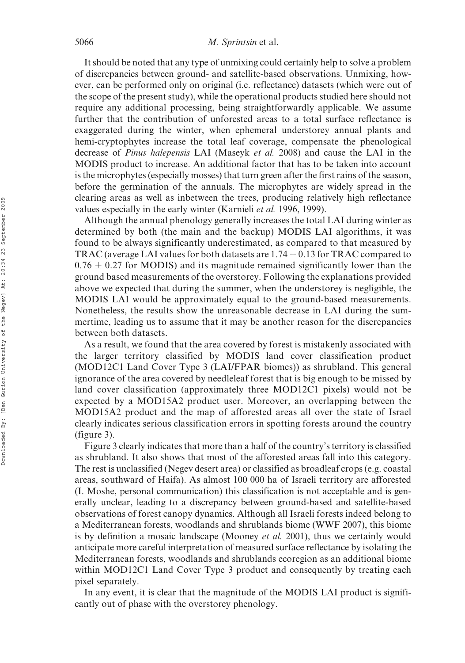## 5066 M. Sprintsin et al.

It should be noted that any type of unmixing could certainly help to solve a problem of discrepancies between ground- and satellite-based observations. Unmixing, however, can be performed only on original (i.e. reflectance) datasets (which were out of the scope of the present study), while the operational products studied here should not require any additional processing, being straightforwardly applicable. We assume further that the contribution of unforested areas to a total surface reflectance is exaggerated during the winter, when ephemeral understorey annual plants and hemi-cryptophytes increase the total leaf coverage, compensate the phenological decrease of Pinus halepensis LAI (Maseyk et al. 2008) and cause the LAI in the MODIS product to increase. An additional factor that has to be taken into account is the microphytes (especially mosses) that turn green after the first rains of the season, before the germination of the annuals. The microphytes are widely spread in the clearing areas as well as inbetween the trees, producing relatively high reflectance values especially in the early winter (Karnieli et al. 1996, 1999).

Although the annual phenology generally increases the total LAI during winter as determined by both (the main and the backup) MODIS LAI algorithms, it was found to be always significantly underestimated, as compared to that measured by TRAC (average LAI values for both datasets are  $1.74 \pm 0.13$  for TRAC compared to  $0.76 \pm 0.27$  for MODIS) and its magnitude remained significantly lower than the ground based measurements of the overstorey. Following the explanations provided above we expected that during the summer, when the understorey is negligible, the MODIS LAI would be approximately equal to the ground-based measurements. Nonetheless, the results show the unreasonable decrease in LAI during the summertime, leading us to assume that it may be another reason for the discrepancies between both datasets.

As a result, we found that the area covered by forest is mistakenly associated with the larger territory classified by MODIS land cover classification product (MOD12C1 Land Cover Type 3 (LAI/FPAR biomes)) as shrubland. This general ignorance of the area covered by needleleaf forest that is big enough to be missed by land cover classification (approximately three MOD12C1 pixels) would not be expected by a MOD15A2 product user. Moreover, an overlapping between the MOD15A2 product and the map of afforested areas all over the state of Israel clearly indicates serious classification errors in spotting forests around the country (figure 3).

Figure 3 clearly indicates that more than a half of the country's territory is classified as shrubland. It also shows that most of the afforested areas fall into this category. The rest is unclassified (Negev desert area) or classified as broadleaf crops (e.g. coastal areas, southward of Haifa). As almost 100 000 ha of Israeli territory are afforested (I. Moshe, personal communication) this classification is not acceptable and is generally unclear, leading to a discrepancy between ground-based and satellite-based observations of forest canopy dynamics. Although all Israeli forests indeed belong to a Mediterranean forests, woodlands and shrublands biome (WWF 2007), this biome is by definition a mosaic landscape (Mooney *et al.* 2001), thus we certainly would anticipate more careful interpretation of measured surface reflectance by isolating the Mediterranean forests, woodlands and shrublands ecoregion as an additional biome within MOD12C1 Land Cover Type 3 product and consequently by treating each pixel separately.

In any event, it is clear that the magnitude of the MODIS LAI product is significantly out of phase with the overstorey phenology.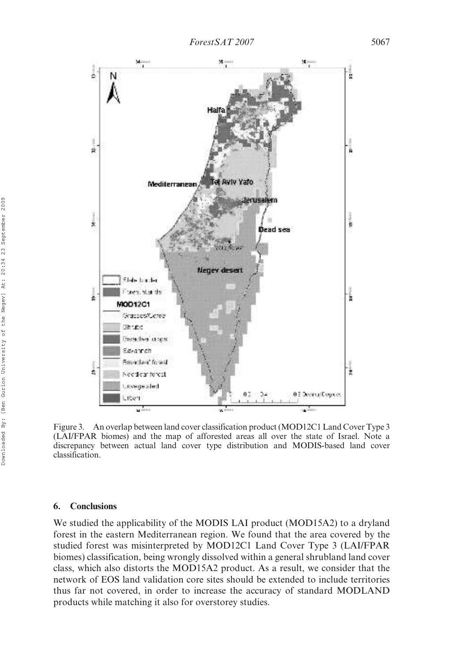

Figure 3. An overlap between land cover classification product (MOD12C1 Land Cover Type 3 (LAI/FPAR biomes) and the map of afforested areas all over the state of Israel. Note a discrepancy between actual land cover type distribution and MODIS-based land cover classification.

#### 6. Conclusions

We studied the applicability of the MODIS LAI product (MOD15A2) to a dryland forest in the eastern Mediterranean region. We found that the area covered by the studied forest was misinterpreted by MOD12C1 Land Cover Type 3 (LAI/FPAR biomes) classification, being wrongly dissolved within a general shrubland land cover class, which also distorts the MOD15A2 product. As a result, we consider that the network of EOS land validation core sites should be extended to include territories thus far not covered, in order to increase the accuracy of standard MODLAND products while matching it also for overstorey studies.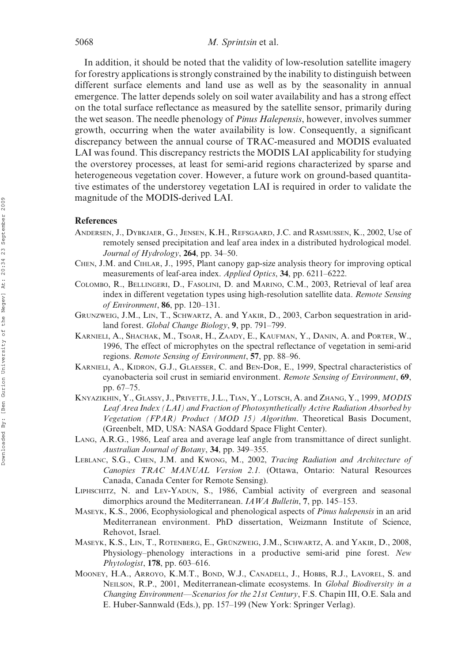In addition, it should be noted that the validity of low-resolution satellite imagery for forestry applications is strongly constrained by the inability to distinguish between different surface elements and land use as well as by the seasonality in annual emergence. The latter depends solely on soil water availability and has a strong effect on the total surface reflectance as measured by the satellite sensor, primarily during the wet season. The needle phenology of *Pinus Halepensis*, however, involves summer growth, occurring when the water availability is low. Consequently, a significant discrepancy between the annual course of TRAC-measured and MODIS evaluated LAI was found. This discrepancy restricts the MODIS LAI applicability for studying the overstorey processes, at least for semi-arid regions characterized by sparse and heterogeneous vegetation cover. However, a future work on ground-based quantitative estimates of the understorey vegetation LAI is required in order to validate the magnitude of the MODIS-derived LAI.

## References

- ANDERSEN, J., DYBKJAER, G., JENSEN, K.H., REFSGAARD, J.C. and RASMUSSEN, K., 2002, Use of remotely sensed precipitation and leaf area index in a distributed hydrological model. Journal of Hydrology,  $264$ , pp. 34–50.
- CHEN, J.M. and CIHLAR, J., 1995, Plant canopy gap-size analysis theory for improving optical measurements of leaf-area index. Applied Optics, 34, pp. 6211–6222.
- COLOMBO, R., BELLINGERI, D., FASOLINI, D. and MARINO, C.M., 2003, Retrieval of leaf area index in different vegetation types using high-resolution satellite data. Remote Sensing of Environment, 86, pp. 120–131.
- GRUNZWEIG, J.M., LIN, T., SCHWARTZ, A. and YAKIR, D., 2003, Carbon sequestration in aridland forest. Global Change Biology, 9, pp. 791–799.
- KARNIELI, A., SHACHAK, M., TSOAR, H., ZAADY, E., KAUFMAN, Y., DANIN, A. and PORTER, W., 1996, The effect of microphytes on the spectral reflectance of vegetation in semi-arid regions. Remote Sensing of Environment, 57, pp. 88–96.
- KARNIELI, A., KIDRON, G.J., GLAESSER, C. and BEN-DOR, E., 1999, Spectral characteristics of cyanobacteria soil crust in semiarid environment. Remote Sensing of Environment, 69, pp. 67–75.
- KNYAZIKHIN, Y., GLASSY, J., PRIVETTE, J.L., TIAN, Y., LOTSCH, A. and ZHANG, Y., 1999, MODIS Leaf Area Index (LAI) and Fraction of Photosynthetically Active Radiation Absorbed by Vegetation (FPAR) Product (MOD 15) Algorithm. Theoretical Basis Document, (Greenbelt, MD, USA: NASA Goddard Space Flight Center).
- LANG, A.R.G., 1986, Leaf area and average leaf angle from transmittance of direct sunlight. Australian Journal of Botany, 34, pp. 349-355.
- LEBLANC, S.G., CHEN, J.M. and KWONG, M., 2002, Tracing Radiation and Architecture of Canopies TRAC MANUAL Version 2.1. (Ottawa, Ontario: Natural Resources Canada, Canada Center for Remote Sensing).
- LIPHSCHITZ, N. and LEV-YADUN, S., 1986, Cambial activity of evergreen and seasonal dimorphics around the Mediterranean. IAWA Bulletin, 7, pp. 145–153.
- MASEYK, K.S., 2006, Ecophysiological and phenological aspects of Pinus halepensis in an arid Mediterranean environment. PhD dissertation, Weizmann Institute of Science, Rehovot, Israel.
- MASEYK, K.S., LIN, T., ROTENBERG, E., GRÜNZWEIG, J.M., SCHWARTZ, A. and YAKIR, D., 2008, Physiology–phenology interactions in a productive semi-arid pine forest. New *Phytologist*, **178**, pp.  $603 - 616$ .
- MOONEY, H.A., ARROYO, K.M.T., BOND, W.J., CANADELL, J., HOBBS, R.J., LAVOREL, S. and NEILSON, R.P., 2001, Mediterranean-climate ecosystems. In Global Biodiversity in a Changing Environment—Scenarios for the 21st Century, F.S. Chapin III, O.E. Sala and E. Huber-Sannwald (Eds.), pp. 157–199 (New York: Springer Verlag).